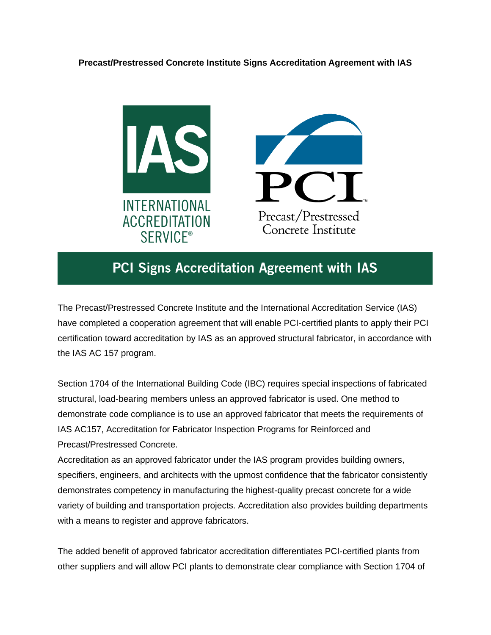## **Precast/Prestressed Concrete Institute Signs Accreditation Agreement with IAS**





## PCI Signs Accreditation Agreement with IAS

The Precast/Prestressed Concrete Institute and the International Accreditation Service (IAS) have completed a cooperation agreement that will enable PCI-certified plants to apply their PCI certification toward accreditation by IAS as an approved structural fabricator, in accordance with the IAS AC 157 program.

Section 1704 of the International Building Code (IBC) requires special inspections of fabricated structural, load-bearing members unless an approved fabricator is used. One method to demonstrate code compliance is to use an approved fabricator that meets the requirements of IAS AC157, Accreditation for Fabricator Inspection Programs for Reinforced and Precast/Prestressed Concrete.

Accreditation as an approved fabricator under the IAS program provides building owners, specifiers, engineers, and architects with the upmost confidence that the fabricator consistently demonstrates competency in manufacturing the highest-quality precast concrete for a wide variety of building and transportation projects. Accreditation also provides building departments with a means to register and approve fabricators.

The added benefit of approved fabricator accreditation differentiates PCI-certified plants from other suppliers and will allow PCI plants to demonstrate clear compliance with Section 1704 of